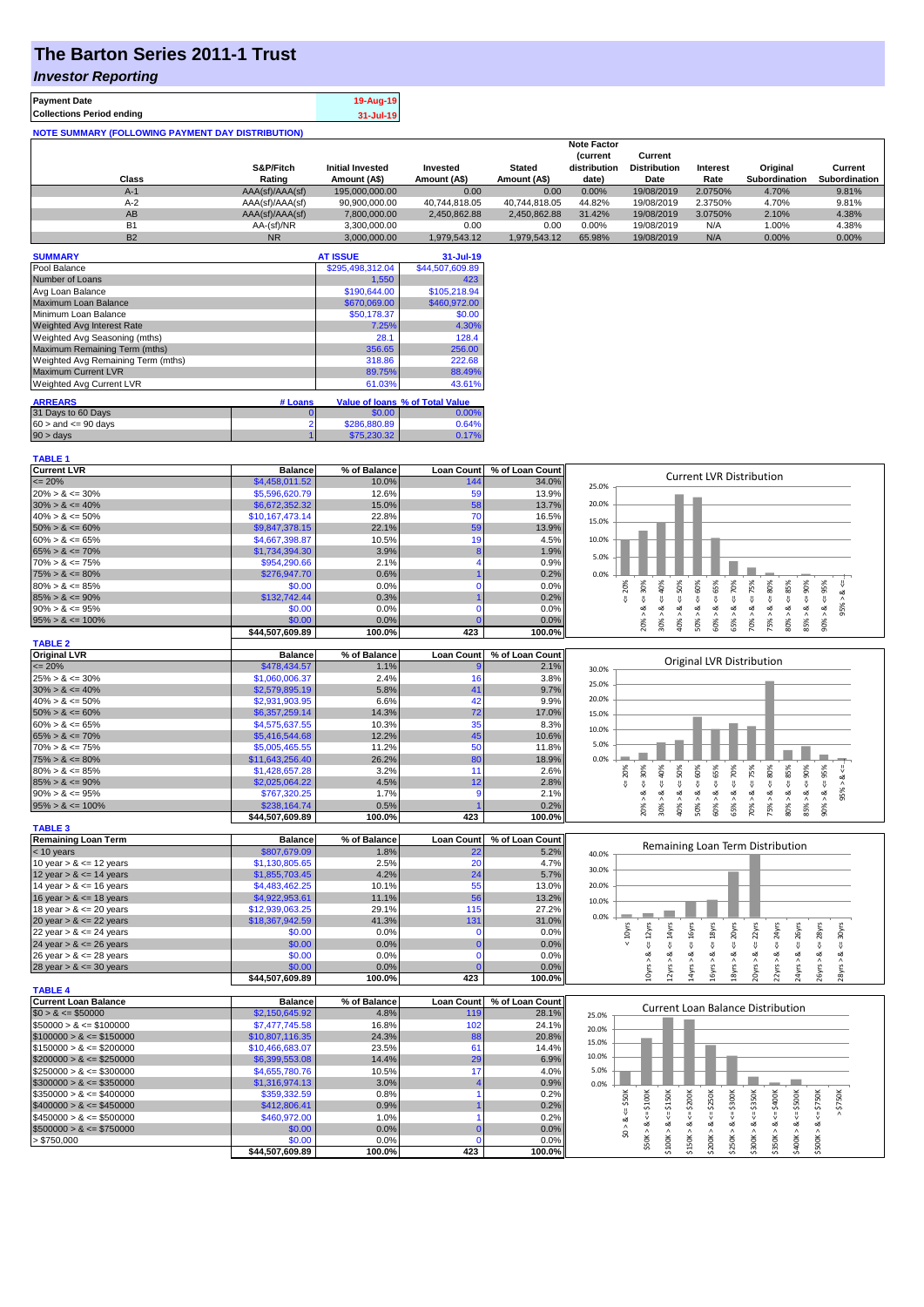# **The Barton Series 2011-1 Trust**

### *Investor Reporting*

| <b>Payment Date</b>                                      | 19-Aug-19 |
|----------------------------------------------------------|-----------|
| <b>Collections Period ending</b>                         | 31-Jul-19 |
| <b>NOTE SUMMARY (FOLLOWING PAYMENT DAY DISTRIBUTION)</b> |           |

|           |                 |                         |               |               | <b>Note Factor</b> |                     |                 |               |               |
|-----------|-----------------|-------------------------|---------------|---------------|--------------------|---------------------|-----------------|---------------|---------------|
|           |                 |                         |               |               | <b>Current</b>     | Current             |                 |               |               |
|           | S&P/Fitch       | <b>Initial Invested</b> | Invested      | <b>Stated</b> | distribution       | <b>Distribution</b> | <b>Interest</b> | Original      | Current       |
| Class     | Rating          | Amount (A\$)            | Amount (A\$)  | Amount (A\$)  | date)              | Date                | Rate            | Subordination | Subordination |
| $A-1$     | AAA(sf)/AAA(sf) | 195,000,000,00          | 0.00          | 0.00          | 0.00%              | 19/08/2019          | 2.0750%         | 4.70%         | 9.81%         |
| $A-2$     | AAA(sf)/AAA(sf) | 90,900,000.00           | 40.744.818.05 | 40.744.818.05 | 44.82%             | 19/08/2019          | 2.3750%         | 4.70%         | 9.81%         |
| AB        | AAA(sf)/AAA(sf) | 7.800.000.00            | 2.450.862.88  | 2.450.862.88  | 31.42%             | 19/08/2019          | 3.0750%         | 2.10%         | 4.38%         |
| B1        | AA-(sf)/NR      | 3.300.000.00            | 0.00          | 0.00          | $0.00\%$           | 19/08/2019          | N/A             | 1.00%         | 4.38%         |
| <b>B2</b> | <b>NR</b>       | 3.000.000.00            | 1.979.543.12  | 1.979.543.12  | 65.98%             | 19/08/2019          | N/A             | $0.00\%$      | 0.00%         |

| <b>SUMMARY</b>                     |                | <b>AT ISSUE</b>  | 31-Jul-19                       |
|------------------------------------|----------------|------------------|---------------------------------|
| Pool Balance                       |                | \$295,498,312.04 | \$44,507,609.89                 |
| Number of Loans                    |                | 1,550            | 423                             |
| Avg Loan Balance                   |                | \$190,644.00     | \$105,218.94                    |
| Maximum Loan Balance               |                | \$670,069.00     | \$460,972.00                    |
| Minimum Loan Balance               |                | \$50,178.37      | \$0.00                          |
| <b>Weighted Avg Interest Rate</b>  |                | 7.25%            | 4.30%                           |
| Weighted Avg Seasoning (mths)      |                | 28.1             | 128.4                           |
| Maximum Remaining Term (mths)      |                | 356.65           | 256.00                          |
| Weighted Avg Remaining Term (mths) |                | 318.86           | 222.68                          |
| <b>Maximum Current LVR</b>         |                | 89.75%           | 88.49%                          |
| Weighted Avg Current LVR           |                | 61.03%           | 43.61%                          |
| <b>ARREARS</b>                     | # Loans        |                  | Value of Ioans % of Total Value |
|                                    |                |                  |                                 |
| 31 Days to 60 Days                 | 0              | \$0.00           | $0.00\%$                        |
| $60 >$ and $\leq 90$ days          | $\overline{2}$ | \$286,880.89     | 0.64%                           |
| $90 > \text{days}$                 |                | \$75,230,32      | 0.17%                           |

| <b>TABLE 1</b>              |                 |              |                   |                 |                                                                                                                                                                                                                 |
|-----------------------------|-----------------|--------------|-------------------|-----------------|-----------------------------------------------------------------------------------------------------------------------------------------------------------------------------------------------------------------|
| <b>Current LVR</b>          | <b>Balance</b>  | % of Balance | <b>Loan Count</b> | % of Loan Count |                                                                                                                                                                                                                 |
| $\leq$ 20%                  | \$4,458,011.52  | 10.0%        | 144               | 34.0%           | <b>Current LVR Distribution</b><br>25.0%                                                                                                                                                                        |
| $20\% > 8 \le 30\%$         | \$5,596,620.79  | 12.6%        | 59                | 13.9%           |                                                                                                                                                                                                                 |
| $30\% > 8 \le 40\%$         | \$6,672,352.32  | 15.0%        | 58                | 13.7%           | 20.0%                                                                                                                                                                                                           |
| $40\% > 8 \le 50\%$         | \$10,167,473.14 | 22.8%        | 70                | 16.5%           |                                                                                                                                                                                                                 |
| $50\% > 8 \le 60\%$         | \$9,847,378.15  | 22.1%        | 59                | 13.9%           | 15.0%                                                                                                                                                                                                           |
| $60\% > 8 \le 65\%$         | \$4,667,398.87  | 10.5%        | 19                | 4.5%            | 10.0%                                                                                                                                                                                                           |
| $65\% > 8 \le 70\%$         | \$1,734,394.30  | 3.9%         | 8                 | 1.9%            |                                                                                                                                                                                                                 |
| $70\% > 8 \le 75\%$         | \$954,290.66    | 2.1%         |                   | 0.9%            | 5.0%                                                                                                                                                                                                            |
| $75\% > 8 \le 80\%$         | \$276,947.70    | 0.6%         |                   | 0.2%            | 0.0%                                                                                                                                                                                                            |
| $80\% > 8 \le 85\%$         | \$0.00          | 0.0%         | $\Omega$          | 0.0%            |                                                                                                                                                                                                                 |
| $85\% > 8 \le 90\%$         | \$132,742.44    | 0.3%         |                   | 0.2%            | 50%<br>60%<br>$8 - 30%$<br>85%<br>$<=80\%$<br>20%<br>ઌ                                                                                                                                                          |
| $90\% > 8 \le 95\%$         | \$0.00          | 0.0%         | $\Omega$          | 0.0%            | $\sqrt{ }$<br>IJ,<br>₹<br>V<br>95%<br>ઌ<br>ಷ                                                                                                                                                                    |
|                             | \$0.00          | 0.0%         |                   |                 |                                                                                                                                                                                                                 |
| $95\% > 8 \le 100\%$        | \$44,507,609.89 | 100.0%       | 423               | 0.0%<br>100.0%  | $30\% > 8 < 40\%$<br>$60\% > 8 <= 65\%$<br>$65\% > 8 <= 70\%$<br>$70\% > 8 \le x = 75\%$<br>$90\% > 8 <= 95\%$<br>$85\% > 8 <= 90\%$<br>75% > 8.<br>80% > 8<br>20% ><br>40% ><br>50% >                          |
| <b>TABLE 2</b>              |                 |              |                   |                 |                                                                                                                                                                                                                 |
| <b>Original LVR</b>         | <b>Balance</b>  | % of Balance | <b>Loan Count</b> | % of Loan Count |                                                                                                                                                                                                                 |
| $= 20%$                     | \$478,434.57    | 1.1%         |                   | 2.1%            | Original LVR Distribution                                                                                                                                                                                       |
|                             |                 |              |                   |                 | 30.0%                                                                                                                                                                                                           |
| $25\% > 8 \le 30\%$         | \$1,060,006.37  | 2.4%         | 16                | 3.8%            | 25.0%                                                                                                                                                                                                           |
| $30\% > 8 \le 40\%$         | \$2,579,895.19  | 5.8%         | 41                | 9.7%            | 20.0%                                                                                                                                                                                                           |
| $40\% > 8 \le 50\%$         | \$2,931,903.95  | 6.6%         | 42                | 9.9%            |                                                                                                                                                                                                                 |
| $50\% > 8 \le 60\%$         | \$6,357,259.14  | 14.3%        | 72                | 17.0%           | 15.0%                                                                                                                                                                                                           |
| $60\% > 8 \le 65\%$         | \$4,575,637.55  | 10.3%        | 35                | 8.3%            | 10.0%                                                                                                                                                                                                           |
| $65\% > 8 \le 70\%$         | \$5,416,544.68  | 12.2%        | 45                | 10.6%           | 5.0%                                                                                                                                                                                                            |
| $70\% > 8 \le 75\%$         | \$5,005,465.55  | 11.2%        | 50                | 11.8%           |                                                                                                                                                                                                                 |
| $75\% > 8 \le 80\%$         | \$11,643,256.40 | 26.2%        | 80                | 18.9%           | 0.0%                                                                                                                                                                                                            |
| $80\% > 8 \le 85\%$         | \$1,428,657.28  | 3.2%         | 11                | 2.6%            | $4 = 30\%$<br>40%<br>50%<br>60%<br>$4 = 65\%$<br>$\le 70\%$<br>$\leq 75\%$<br>$\le 80\%$<br>85%<br>$4 = 95\%$<br>20%                                                                                            |
| $85\% > 8 \le 90\%$         | \$2,025,064.22  | 4.5%         | 12                | 2.8%            | ž<br>$\overset{\shortparallel}{\mathsf{v}}$<br>$\stackrel{0}{\vee}$<br>IJ<br>₩                                                                                                                                  |
| $90\% > 8 \le 95\%$         | \$767,320.25    | 1.7%         | g                 | 2.1%            | 95%<br>ಷ<br>ಷ<br>œ<br>ಷ<br>ಷ                                                                                                                                                                                    |
| $95\% > 8 \le 100\%$        | \$238,164.74    | 0.5%         |                   | 0.2%            | $85\% > 8 \leq 90\%$<br>$90\% > 8.$<br>65% > 8.<br>70% > 8<br>75% > 8.<br>$80\% > 8$ .<br>20% ><br>30%<br>40% ><br>50% ><br>60% >                                                                               |
|                             | \$44,507,609.89 | 100.0%       | 423               | 100.0%          |                                                                                                                                                                                                                 |
| <b>TABLE 3</b>              |                 |              |                   |                 |                                                                                                                                                                                                                 |
| <b>Remaining Loan Term</b>  | <b>Balance</b>  | % of Balance | <b>Loan Count</b> | % of Loan Count |                                                                                                                                                                                                                 |
| $<$ 10 years                | \$807,679.09    | 1.8%         | 22                | 5.2%            | Remaining Loan Term Distribution<br>40.0%                                                                                                                                                                       |
| 10 year $> 8 \le 12$ years  | \$1,130,805.65  | 2.5%         | 20                | 4.7%            |                                                                                                                                                                                                                 |
| 12 year $> 8 \le 14$ years  | \$1,855,703.45  | 4.2%         | 24                | 5.7%            | 30.0%                                                                                                                                                                                                           |
| 14 year $> 8 \le 16$ years  | \$4,483,462.25  | 10.1%        | 55                | 13.0%           | 20.0%                                                                                                                                                                                                           |
| 16 year $> 8 \le 18$ years  | \$4,922,953.61  | 11.1%        | 56                | 13.2%           | 10.0%                                                                                                                                                                                                           |
| 18 year $> 8 \le 20$ years  | \$12,939,063.25 | 29.1%        | 115               | 27.2%           |                                                                                                                                                                                                                 |
| 20 year $> 8 \le 22$ years  | \$18,367,942.59 | 41.3%        | 131               | 31.0%           | 0.0%                                                                                                                                                                                                            |
| 22 year $> 8 \le 24$ years  | \$0.00          | 0.0%         | C                 | 0.0%            | $< 10$ yrs                                                                                                                                                                                                      |
| 24 year $> 8 \le 26$ years  | \$0.00          | 0.0%         | $\overline{0}$    | 0.0%            | $\leq$ 20 $\gamma$ rs<br>$\leq$ 22 $\gamma$ rs<br>$\leq 14$ yrs<br>$\leq 18$ yrs<br>$\leq$ 24yrs<br>$\leq$ 26yrs<br>$\leq$ 28 $\gamma$ rs<br>$\leq 12$ yrs<br>$\epsilon$ = 16yrs<br>$\leq$ 30yrs                |
| 26 year $> 8 \le 28$ years  | \$0.00          | 0.0%         | $\Omega$          | 0.0%            | ಷ<br>ಷ<br>ಹ                                                                                                                                                                                                     |
| 28 year $> 8 \le 30$ years  | \$0.00          | 0.0%         | $\Omega$          | 0.0%            |                                                                                                                                                                                                                 |
|                             | \$44,507,609.89 | 100.0%       | 423               | 100.0%          | 16yrs > 8<br>10yrs > 8<br>14yrs > 8<br>18yrs > 8<br>22yrs > 8<br>24yrs > 8<br>26yrs > 8<br>2yrs<br>20yrs<br>28yrs                                                                                               |
| <b>TABLE 4</b>              |                 |              |                   |                 |                                                                                                                                                                                                                 |
| <b>Current Loan Balance</b> | <b>Balance</b>  | % of Balance | <b>Loan Count</b> | % of Loan Count |                                                                                                                                                                                                                 |
| $$0 > 8 \le $50000$         | \$2,150,645.92  | 4.8%         | 119               | 28.1%           | <b>Current Loan Balance Distribution</b><br>25.0%                                                                                                                                                               |
| $$50000 > 8 \le $100000$    | \$7,477,745.58  | 16.8%        | 102               | 24.1%           |                                                                                                                                                                                                                 |
| $$100000 > 8 \le $150000$   |                 | 24.3%        |                   | 20.8%           | 20.0%                                                                                                                                                                                                           |
|                             | \$10,807,116.35 |              | 88                |                 | 15.0%                                                                                                                                                                                                           |
| $$150000 > 8 \leq $200000$  | \$10,466,683.07 | 23.5%        | 61                | 14.4%           | 10.0%                                                                                                                                                                                                           |
| $$200000 > 8 \leq $250000$  | \$6,399,553.08  | 14.4%        | 29                | 6.9%            |                                                                                                                                                                                                                 |
| $$250000 > 8 \leq $300000$  | \$4,655,780.76  | 10.5%        | 17                | 4.0%            | 5.0%                                                                                                                                                                                                            |
| $$300000 > 8 \leq $350000$  | \$1,316,974.13  | 3.0%         |                   | 0.9%            | 0.0%                                                                                                                                                                                                            |
| $$350000 > 8 \leq $400000$  | \$359,332.59    | 0.8%         |                   | 0.2%            | \$350K<br>$\leq$ = \$50K<br>\$750K                                                                                                                                                                              |
| $$400000 > 8 \leq $450000$  | \$412,806.41    | 0.9%         |                   | 0.2%            |                                                                                                                                                                                                                 |
| $$450000 > 8 \le $500000$   | \$460,972.00    | 1.0%         |                   | 0.2%            |                                                                                                                                                                                                                 |
| $$500000 > 8 \leq $750000$  | \$0.00          | 0.0%         | $\overline{0}$    | 0.0%            | \$0 > 8.                                                                                                                                                                                                        |
| > \$750,000                 | \$0.00          | 0.0%         | C                 | 0.0%            | $$50K > 8 <= $100K$<br>$$100K > 8 <= $150K$<br>$$150K > 8 \le = $200K$<br>$$200K > 8 \le = $250K$<br>$$250K > <= $300K$<br>$$400K > 8 <= $500K$<br>\$350K > & <= \$400K<br>$$500K > 8 <= $750K$<br>\$300K > 8 < |
|                             | \$44,507,609.89 | 100.0%       | 423               | 100.0%          |                                                                                                                                                                                                                 |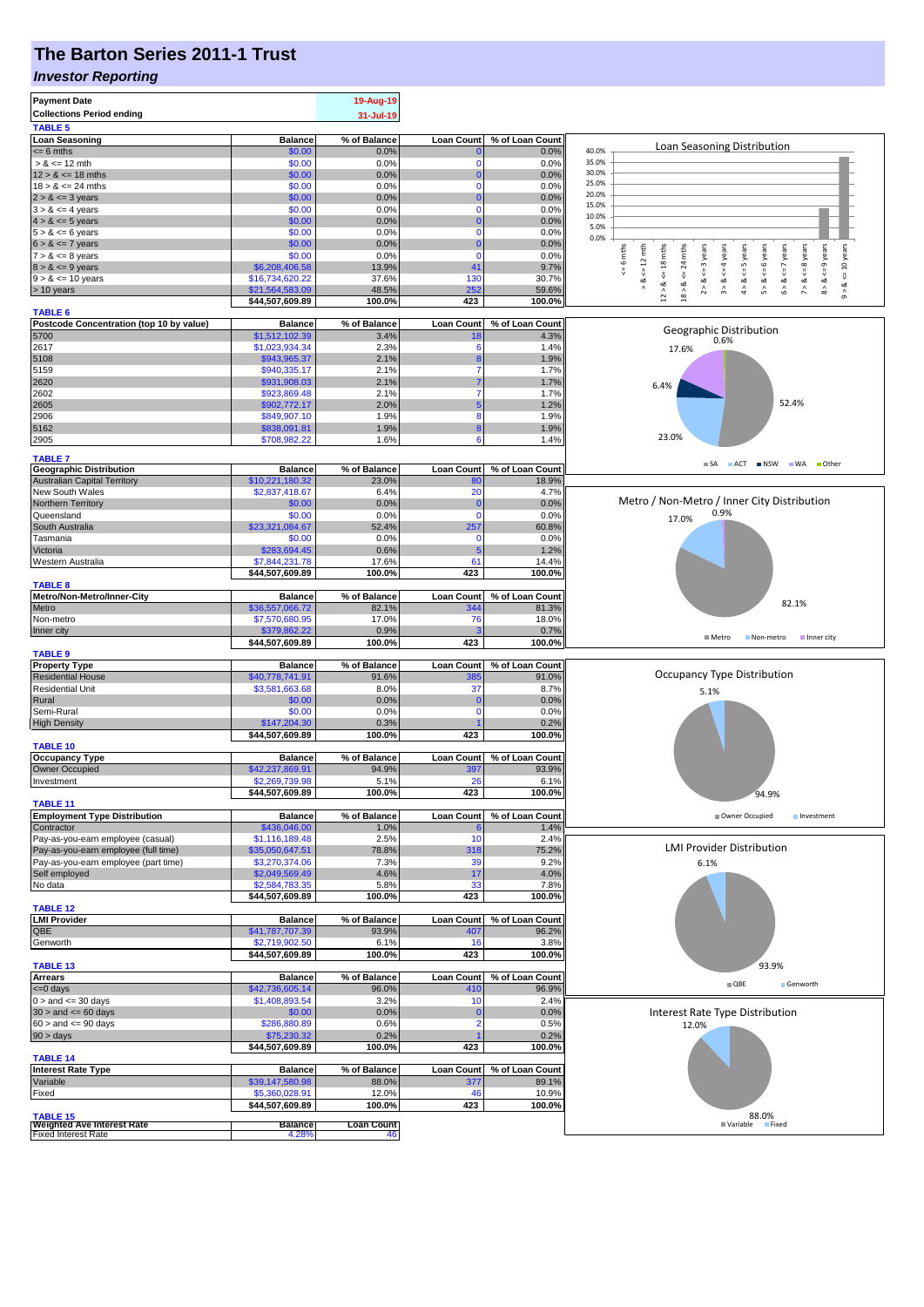# **The Barton Series 2011-1 Trust**

#### *Investor Reporting*

| <b>Payment Date</b><br><b>Collections Period ending</b><br><b>TABLE 5</b>          |                                  | 19-Aug-19<br>31-Jul-19 |                   |                 |                                                                                                                                                  |
|------------------------------------------------------------------------------------|----------------------------------|------------------------|-------------------|-----------------|--------------------------------------------------------------------------------------------------------------------------------------------------|
| <b>Loan Seasoning</b>                                                              | <b>Balance</b>                   | % of Balance           | <b>Loan Count</b> | % of Loan Count |                                                                                                                                                  |
| $= 6$ mths                                                                         | \$0.00                           | 0.0%                   |                   | 0.0%            | Loan Seasoning Distribution<br>40.0%                                                                                                             |
| $> 8 \le 12$ mth                                                                   | \$0.00                           | 0.0%                   | 0                 | 0.0%            | 35.0%                                                                                                                                            |
| $12 > 8 \le 18$ mths                                                               | \$0.00                           | 0.0%                   |                   | 0.0%            | 30.0%                                                                                                                                            |
| $18 > 8 \le 24$ mths                                                               | \$0.00                           | 0.0%                   |                   | 0.0%            | 25.0%                                                                                                                                            |
| $2 > 8 \le 3$ years                                                                | \$0.00                           | 0.0%                   |                   | 0.0%            | 20.0%<br>15.0%                                                                                                                                   |
| $3 > 8 \le 4$ years                                                                | \$0.00                           | 0.0%                   | $\Omega$          | 0.0%            | 10.0%                                                                                                                                            |
| $4 > 8 \le 5$ years                                                                | \$0.00<br>\$0.00                 | 0.0%                   | $\Omega$          | 0.0%            | 5.0%                                                                                                                                             |
| $5 > 8 \le 6$ years<br>$6 > 8 \le 7$ years                                         | \$0.00                           | 0.0%<br>0.0%           |                   | 0.0%<br>0.0%    | 0.0%                                                                                                                                             |
| $7 > 8 \le 8$ years                                                                | \$0.00                           | 0.0%                   | $\Omega$          | 0.0%            | 6 mths<br>24 mths                                                                                                                                |
| $8 > 8 \le 9$ years                                                                | \$6,208,406.58                   | 13.9%                  | 41                | 9.7%            | $\le$ = 10 years<br>$5 > 8 < 6$ years<br>$6 > 8 < z < 7$ years<br>$\leq$ = 8 years<br>$\leq 12$ mth<br>$\leq$ = 4 years<br>$4 > 8 < z = 5$ years |
| $9 > 8 \le 10$ years                                                               | \$16,734,620.22                  | 37.6%                  | 130               | 30.7%           | $\sqrt{\frac{1}{2}}$<br>$\frac{8}{1}$                                                                                                            |
| > 10 years                                                                         | \$21,564,583.09                  | 48.5%                  | 252               | 59.6%           | $8 > 8 < = 9$ years<br>$12 > 8$ <= 18 mths<br>$2 > 8 < z = 3$ years<br>3 > 8<br>$7 > 8$ .<br>$18 > 8$<br>ಷ<br>$\hat{\circ}$                      |
|                                                                                    | \$44,507,609.89                  | 100.0%                 | 423               | 100.0%          |                                                                                                                                                  |
| <b>TABLE 6</b>                                                                     |                                  |                        |                   |                 |                                                                                                                                                  |
| Postcode Concentration (top 10 by value)<br>5700                                   | <b>Balance</b>                   | % of Balance           | <b>Loan Count</b> | % of Loan Count | Geographic Distribution                                                                                                                          |
| 2617                                                                               | \$1,512,102.39<br>\$1,023,934.34 | 3.4%<br>2.3%           | 6                 | 4.3%<br>1.4%    | 0.6%                                                                                                                                             |
| 5108                                                                               | \$943,965.37                     | 2.1%                   |                   | 1.9%            | 17.6%                                                                                                                                            |
| 5159                                                                               | \$940,335.17                     | 2.1%                   |                   | 1.7%            |                                                                                                                                                  |
| 2620                                                                               | \$931,908.03                     | 2.1%                   |                   | 1.7%            | 6.4%                                                                                                                                             |
| 2602                                                                               | \$923,869.48                     | 2.1%                   |                   | 1.7%            |                                                                                                                                                  |
| 2605                                                                               | \$902,772.17                     | 2.0%                   |                   | 1.2%            | 52.4%                                                                                                                                            |
| 2906                                                                               | \$849,907.10                     | 1.9%                   | 8                 | 1.9%            |                                                                                                                                                  |
| 5162                                                                               | \$838,091.81                     | 1.9%                   |                   | 1.9%            | 23.0%                                                                                                                                            |
| 2905                                                                               | \$708,982.22                     | 1.6%                   | 6                 | 1.4%            |                                                                                                                                                  |
| <b>TABLE 7</b>                                                                     |                                  |                        |                   |                 |                                                                                                                                                  |
| <b>Geographic Distribution</b>                                                     | <b>Balance</b>                   | % of Balance           | <b>Loan Count</b> | % of Loan Count | SA ACT INSW WA Other                                                                                                                             |
| <b>Australian Capital Territory</b>                                                | \$10,221,180.32                  | 23.0%                  | -80               | 18.9%           |                                                                                                                                                  |
| New South Wales                                                                    | \$2,837,418.67                   | 6.4%                   | 20                | 4.7%            | Metro / Non-Metro / Inner City Distribution                                                                                                      |
| Northern Territory                                                                 | \$0.00                           | 0.0%                   | C                 | 0.0%            | 0.9%                                                                                                                                             |
| Queensland                                                                         | \$0.00                           | 0.0%                   | $\Omega$          | 0.0%            | 17.0%                                                                                                                                            |
| South Australia<br>Tasmania                                                        | \$23,321,084.67<br>\$0.00        | 52.4%<br>0.0%          | 257<br>$\Omega$   | 60.8%<br>0.0%   |                                                                                                                                                  |
| Victoria                                                                           | \$283,694.45                     | 0.6%                   | 5                 | 1.2%            |                                                                                                                                                  |
| Western Australia                                                                  | \$7,844,231.78                   | 17.6%                  | 61                | 14.4%           |                                                                                                                                                  |
|                                                                                    | \$44,507,609.89                  | 100.0%                 | 423               | 100.0%          |                                                                                                                                                  |
| <b>TABLE 8</b>                                                                     |                                  |                        |                   |                 |                                                                                                                                                  |
| Metro/Non-Metro/Inner-City                                                         | <b>Balance</b>                   | % of Balance           | <b>Loan Count</b> | % of Loan Count | 82.1%                                                                                                                                            |
| Metro                                                                              | \$36,557,066.72                  | 82.1%                  | 344               | 81.3%           |                                                                                                                                                  |
| Non-metro                                                                          | \$7,570,680.95                   | 17.0%                  | 76                | 18.0%           |                                                                                                                                                  |
| Inner city                                                                         | \$379,862.22                     | 0.9%<br>100.0%         | 423               | 0.7%            | ■ Metro<br>Non-metro<br>Inner city                                                                                                               |
| <b>TABLE 9</b>                                                                     | \$44,507,609.89                  |                        |                   | 100.0%          |                                                                                                                                                  |
| <b>Property Type</b>                                                               | <b>Balance</b>                   | % of Balance           | <b>Loan Count</b> | % of Loan Count |                                                                                                                                                  |
| <b>Residential House</b>                                                           | \$40,778,741.91                  | 91.6%                  | 385               | 91.0%           | Occupancy Type Distribution                                                                                                                      |
| <b>Residential Unit</b>                                                            | \$3,581,663.68                   | 8.0%                   | 37                | 8.7%            | 5.1%                                                                                                                                             |
| Rural                                                                              | \$0.00                           | 0.0%                   | $\Omega$          | 0.0%            |                                                                                                                                                  |
| Semi-Rural                                                                         | \$0.00                           | 0.0%                   | $\Omega$          | 0.0%            |                                                                                                                                                  |
| <b>High Density</b>                                                                | \$147,204.30                     | 0.3%                   |                   | 0.2%            |                                                                                                                                                  |
|                                                                                    | \$44,507,609.89                  | 100.0%                 | 423               | 100.0%          |                                                                                                                                                  |
| <b>TABLE 10</b>                                                                    | <b>Balance</b>                   | % of Balance           | <b>Loan Count</b> | % of Loan Count |                                                                                                                                                  |
| <b>Occupancy Type</b><br>Owner Occupied                                            | \$42,237,869.91                  | 94.9%                  | 397               | 93.9%           |                                                                                                                                                  |
| Investment                                                                         | \$2 269 739 98                   | 5.1%                   | 26                | 6.1%            |                                                                                                                                                  |
|                                                                                    | \$44,507,609.89                  | 100.0%                 | 423               | 100.0%          | 94.9%                                                                                                                                            |
| <b>TABLE 11</b>                                                                    |                                  |                        |                   |                 |                                                                                                                                                  |
| <b>Employment Type Distribution</b>                                                | <b>Balance</b>                   | % of Balance           | <b>Loan Count</b> | % of Loan Count |                                                                                                                                                  |
| Contractor                                                                         |                                  |                        |                   |                 | Owner Occupied<br>Investment                                                                                                                     |
|                                                                                    | \$436,046.00                     | 1.0%                   |                   | 1.4%            |                                                                                                                                                  |
| Pay-as-you-earn employee (casual)                                                  | \$1,116,189.48                   | 2.5%                   | 10                | 2.4%            |                                                                                                                                                  |
| Pay-as-you-earn employee (full time)                                               | \$35,050,647.51                  | 78.8%                  | 318               | 75.2%           | <b>LMI Provider Distribution</b>                                                                                                                 |
| Pay-as-you-earn employee (part time)                                               | \$3,270,374.06                   | 7.3%                   | 39                | 9.2%            | 6.1%                                                                                                                                             |
| Self employed                                                                      | \$2,049,569.49                   | 4.6%                   | 17                | 4.0%            |                                                                                                                                                  |
| No data                                                                            | \$2,584,783.35                   | 5.8%<br>100.0%         | 33<br>423         | 7.8%<br>100.0%  |                                                                                                                                                  |
| <b>TABLE 12</b>                                                                    | \$44,507,609.89                  |                        |                   |                 |                                                                                                                                                  |
| <b>LMI Provider</b>                                                                | <b>Balance</b>                   | % of Balance           | <b>Loan Count</b> | % of Loan Count |                                                                                                                                                  |
| QBE                                                                                | \$41,787,707.39                  | 93.9%                  | 407               | 96.2%           |                                                                                                                                                  |
| Genworth                                                                           | \$2,719,902.50                   | 6.1%                   | 16                | 3.8%            |                                                                                                                                                  |
|                                                                                    | \$44,507,609.89                  | 100.0%                 | 423               | 100.0%          |                                                                                                                                                  |
| <b>TABLE 13</b>                                                                    |                                  |                        |                   |                 | 93.9%                                                                                                                                            |
| <b>Arrears</b>                                                                     | <b>Balance</b>                   | % of Balance           | <b>Loan Count</b> | % of Loan Count | $\blacksquare$ QBE<br>Genworth                                                                                                                   |
| $= 0$ days                                                                         | \$42,736,605.14                  | 96.0%                  | 41 <sup>C</sup>   | 96.9%           |                                                                                                                                                  |
| $0 >$ and $\leq 30$ days                                                           | \$1,408,893.54                   | 3.2%                   | 10<br>0           | 2.4%            |                                                                                                                                                  |
| $30 >$ and $\leq 60$ days                                                          | \$0.00<br>\$286,880.89           | 0.0%<br>0.6%           |                   | 0.0%<br>0.5%    | Interest Rate Type Distribution                                                                                                                  |
| $60 >$ and $\leq 90$ days<br>$90 > \text{days}$                                    | \$75,230.32                      | 0.2%                   |                   | 0.2%            | 12.0%                                                                                                                                            |
|                                                                                    | \$44,507,609.89                  | 100.0%                 | 423               | 100.0%          |                                                                                                                                                  |
| <b>TABLE 14</b>                                                                    |                                  |                        |                   |                 |                                                                                                                                                  |
| <b>Interest Rate Type</b>                                                          | <b>Balance</b>                   | % of Balance           | <b>Loan Count</b> | % of Loan Count |                                                                                                                                                  |
| Variable                                                                           | \$39,147,580.98                  | 88.0%                  | 377               | 89.1%           |                                                                                                                                                  |
| Fixed                                                                              | \$5,360,028.91                   | 12.0%                  | 46                | 10.9%           |                                                                                                                                                  |
|                                                                                    | \$44,507,609.89                  | 100.0%                 | 423               | 100.0%          |                                                                                                                                                  |
| <b>TABLE 15</b><br><b>Weighted Ave Interest Rate</b><br><b>Fixed Interest Rate</b> | <b>Balance</b>                   | <b>Loan Count</b>      |                   |                 | 88.0%<br>■ Variable<br>Fixed                                                                                                                     |